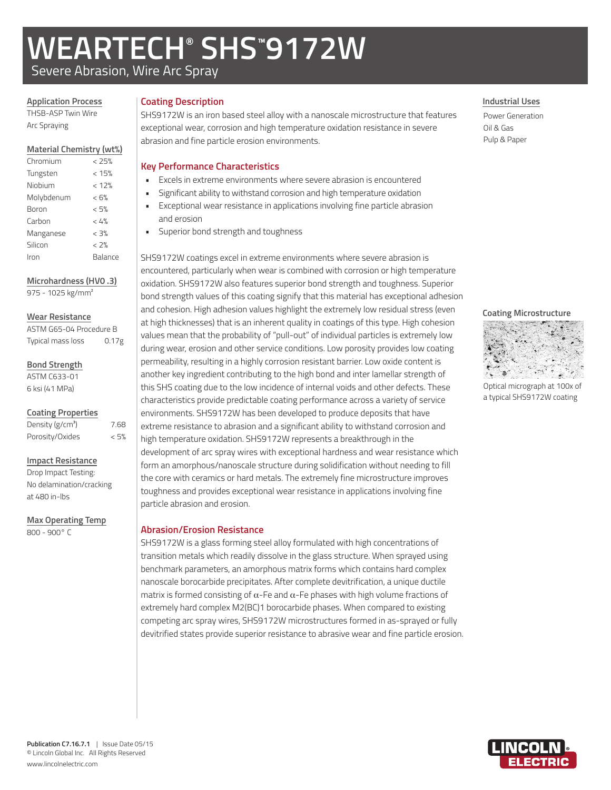# **WEARTECH® SHS™ 9172W**

Severe Abrasion, Wire Arc Spray

## **Application Process**

THSB-ASP Twin Wire Arc Spraying

#### **Material Chemistry (wt%)**

| Chromium   | < 25%   |
|------------|---------|
| Tungsten   | < 15%   |
| Niobium    | < 12%   |
| Molybdenum | < 6%    |
| Boron      | < 5%    |
| Carbon     | < 4%    |
| Manganese  | < 3%    |
| Silicon    | < 2%    |
| Iron       | Balance |
|            |         |

**Microhardness (HV0 .3)** 975 - 1025 kg/mm²

#### **Wear Resistance**

| ASTM G65-04 Procedure B |                   |
|-------------------------|-------------------|
| Typical mass loss       | 0.17 <sub>g</sub> |

**Bond Strength**

ASTM C633-01 6 ksi (41 MPa)

#### **Coating Properties**

| Density (g/cm <sup>3</sup> ) | 7.68 |
|------------------------------|------|
| Porosity/Oxides              | < 5% |

#### **Impact Resistance**

Drop Impact Testing: No delamination/cracking at 480 in-lbs

#### **Max Operating Temp**

800 - 900° C

## **Coating Description**

SHS9172W is an iron based steel alloy with a nanoscale microstructure that features exceptional wear, corrosion and high temperature oxidation resistance in severe abrasion and fine particle erosion environments.

### **Key Performance Characteristics**

- Excels in extreme environments where severe abrasion is encountered
- Significant ability to withstand corrosion and high temperature oxidation
- Exceptional wear resistance in applications involving fine particle abrasion and erosion
	- Superior bond strength and toughness

SHS9172W coatings excel in extreme environments where severe abrasion is encountered, particularly when wear is combined with corrosion or high temperature oxidation. SHS9172W also features superior bond strength and toughness. Superior bond strength values of this coating signify that this material has exceptional adhesion and cohesion. High adhesion values highlight the extremely low residual stress (even at high thicknesses) that is an inherent quality in coatings of this type. High cohesion values mean that the probability of "pull-out" of individual particles is extremely low during wear, erosion and other service conditions. Low porosity provides low coating permeability, resulting in a highly corrosion resistant barrier. Low oxide content is another key ingredient contributing to the high bond and inter lamellar strength of this SHS coating due to the low incidence of internal voids and other defects. These characteristics provide predictable coating performance across a variety of service environments. SHS9172W has been developed to produce deposits that have extreme resistance to abrasion and a significant ability to withstand corrosion and high temperature oxidation. SHS9172W represents a breakthrough in the development of arc spray wires with exceptional hardness and wear resistance which form an amorphous/nanoscale structure during solidification without needing to fill the core with ceramics or hard metals. The extremely fine microstructure improves toughness and provides exceptional wear resistance in applications involving fine particle abrasion and erosion.

## **Abrasion/Erosion Resistance**

SHS9172W is a glass forming steel alloy formulated with high concentrations of transition metals which readily dissolve in the glass structure. When sprayed using benchmark parameters, an amorphous matrix forms which contains hard complex nanoscale borocarbide precipitates. After complete devitrification, a unique ductile matrix is formed consisting of  $\alpha$ -Fe and  $\alpha$ -Fe phases with high volume fractions of extremely hard complex M2(BC)1 borocarbide phases. When compared to existing competing arc spray wires, SHS9172W microstructures formed in as-sprayed or fully devitrified states provide superior resistance to abrasive wear and fine particle erosion.

#### **Industrial Uses**

Power Generation Oil & Gas Pulp & Paper

#### **Coating Microstructure**



Optical micrograph at 100x of a typical SHS9172W coating